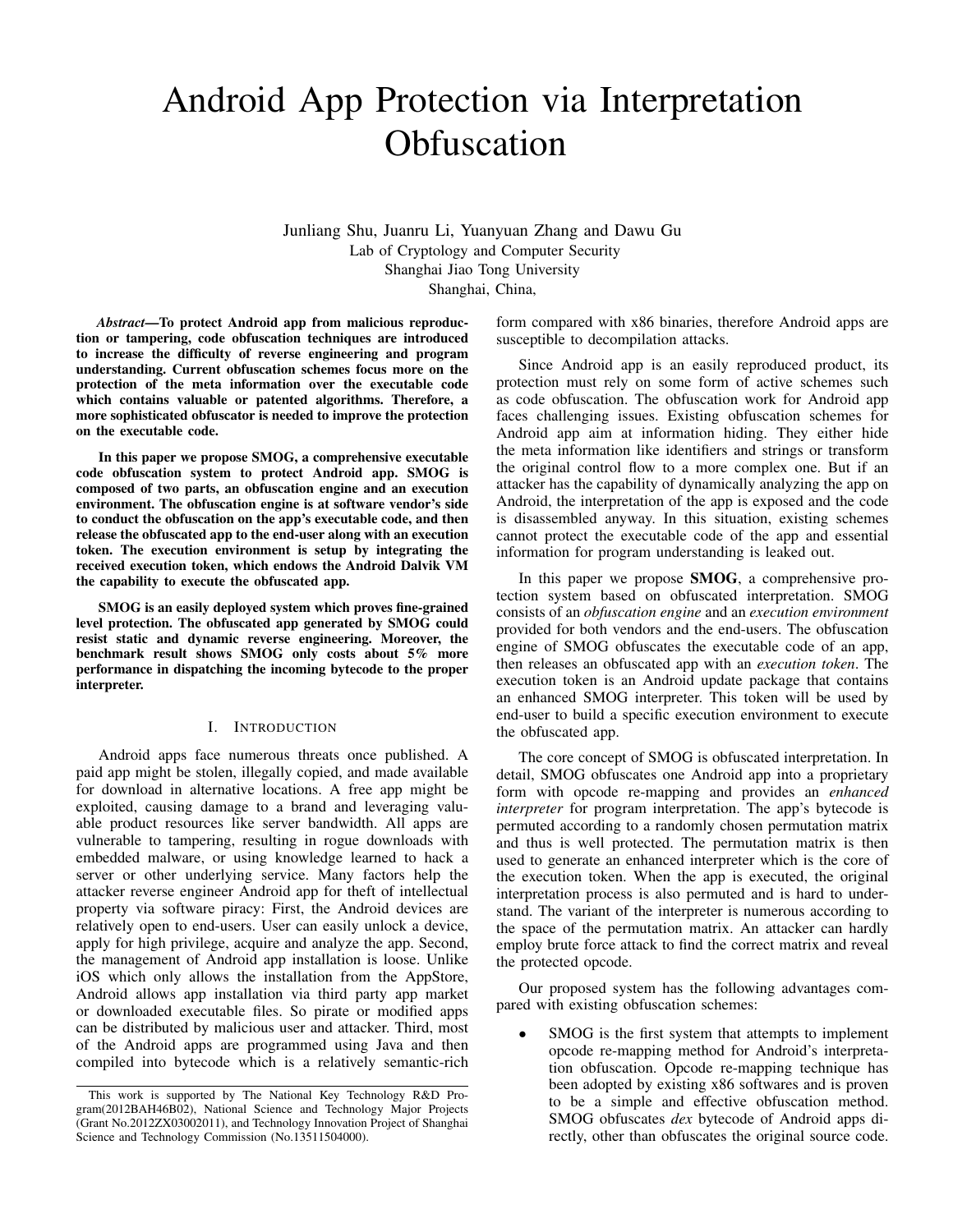# Android App Protection via Interpretation **Obfuscation**

Junliang Shu, Juanru Li, Yuanyuan Zhang and Dawu Gu Lab of Cryptology and Computer Security Shanghai Jiao Tong University Shanghai, China,

*Abstract*—To protect Android app from malicious reproduction or tampering, code obfuscation techniques are introduced to increase the difficulty of reverse engineering and program understanding. Current obfuscation schemes focus more on the protection of the meta information over the executable code which contains valuable or patented algorithms. Therefore, a more sophisticated obfuscator is needed to improve the protection on the executable code.

In this paper we propose SMOG, a comprehensive executable code obfuscation system to protect Android app. SMOG is composed of two parts, an obfuscation engine and an execution environment. The obfuscation engine is at software vendor's side to conduct the obfuscation on the app's executable code, and then release the obfuscated app to the end-user along with an execution token. The execution environment is setup by integrating the received execution token, which endows the Android Dalvik VM the capability to execute the obfuscated app.

SMOG is an easily deployed system which proves fine-grained level protection. The obfuscated app generated by SMOG could resist static and dynamic reverse engineering. Moreover, the benchmark result shows SMOG only costs about 5% more performance in dispatching the incoming bytecode to the proper interpreter.

#### I. INTRODUCTION

Android apps face numerous threats once published. A paid app might be stolen, illegally copied, and made available for download in alternative locations. A free app might be exploited, causing damage to a brand and leveraging valuable product resources like server bandwidth. All apps are vulnerable to tampering, resulting in rogue downloads with embedded malware, or using knowledge learned to hack a server or other underlying service. Many factors help the attacker reverse engineer Android app for theft of intellectual property via software piracy: First, the Android devices are relatively open to end-users. User can easily unlock a device, apply for high privilege, acquire and analyze the app. Second, the management of Android app installation is loose. Unlike iOS which only allows the installation from the AppStore, Android allows app installation via third party app market or downloaded executable files. So pirate or modified apps can be distributed by malicious user and attacker. Third, most of the Android apps are programmed using Java and then compiled into bytecode which is a relatively semantic-rich form compared with x86 binaries, therefore Android apps are susceptible to decompilation attacks.

Since Android app is an easily reproduced product, its protection must rely on some form of active schemes such as code obfuscation. The obfuscation work for Android app faces challenging issues. Existing obfuscation schemes for Android app aim at information hiding. They either hide the meta information like identifiers and strings or transform the original control flow to a more complex one. But if an attacker has the capability of dynamically analyzing the app on Android, the interpretation of the app is exposed and the code is disassembled anyway. In this situation, existing schemes cannot protect the executable code of the app and essential information for program understanding is leaked out.

In this paper we propose **SMOG**, a comprehensive protection system based on obfuscated interpretation. SMOG consists of an *obfuscation engine* and an *execution environment* provided for both vendors and the end-users. The obfuscation engine of SMOG obfuscates the executable code of an app, then releases an obfuscated app with an *execution token*. The execution token is an Android update package that contains an enhanced SMOG interpreter. This token will be used by end-user to build a specific execution environment to execute the obfuscated app.

The core concept of SMOG is obfuscated interpretation. In detail, SMOG obfuscates one Android app into a proprietary form with opcode re-mapping and provides an *enhanced interpreter* for program interpretation. The app's bytecode is permuted according to a randomly chosen permutation matrix and thus is well protected. The permutation matrix is then used to generate an enhanced interpreter which is the core of the execution token. When the app is executed, the original interpretation process is also permuted and is hard to understand. The variant of the interpreter is numerous according to the space of the permutation matrix. An attacker can hardly employ brute force attack to find the correct matrix and reveal the protected opcode.

Our proposed system has the following advantages compared with existing obfuscation schemes:

SMOG is the first system that attempts to implement opcode re-mapping method for Android's interpretation obfuscation. Opcode re-mapping technique has been adopted by existing x86 softwares and is proven to be a simple and effective obfuscation method. SMOG obfuscates *dex* bytecode of Android apps directly, other than obfuscates the original source code.

This work is supported by The National Key Technology R&D Program(2012BAH46B02), National Science and Technology Major Projects (Grant No.2012ZX03002011), and Technology Innovation Project of Shanghai Science and Technology Commission (No.13511504000).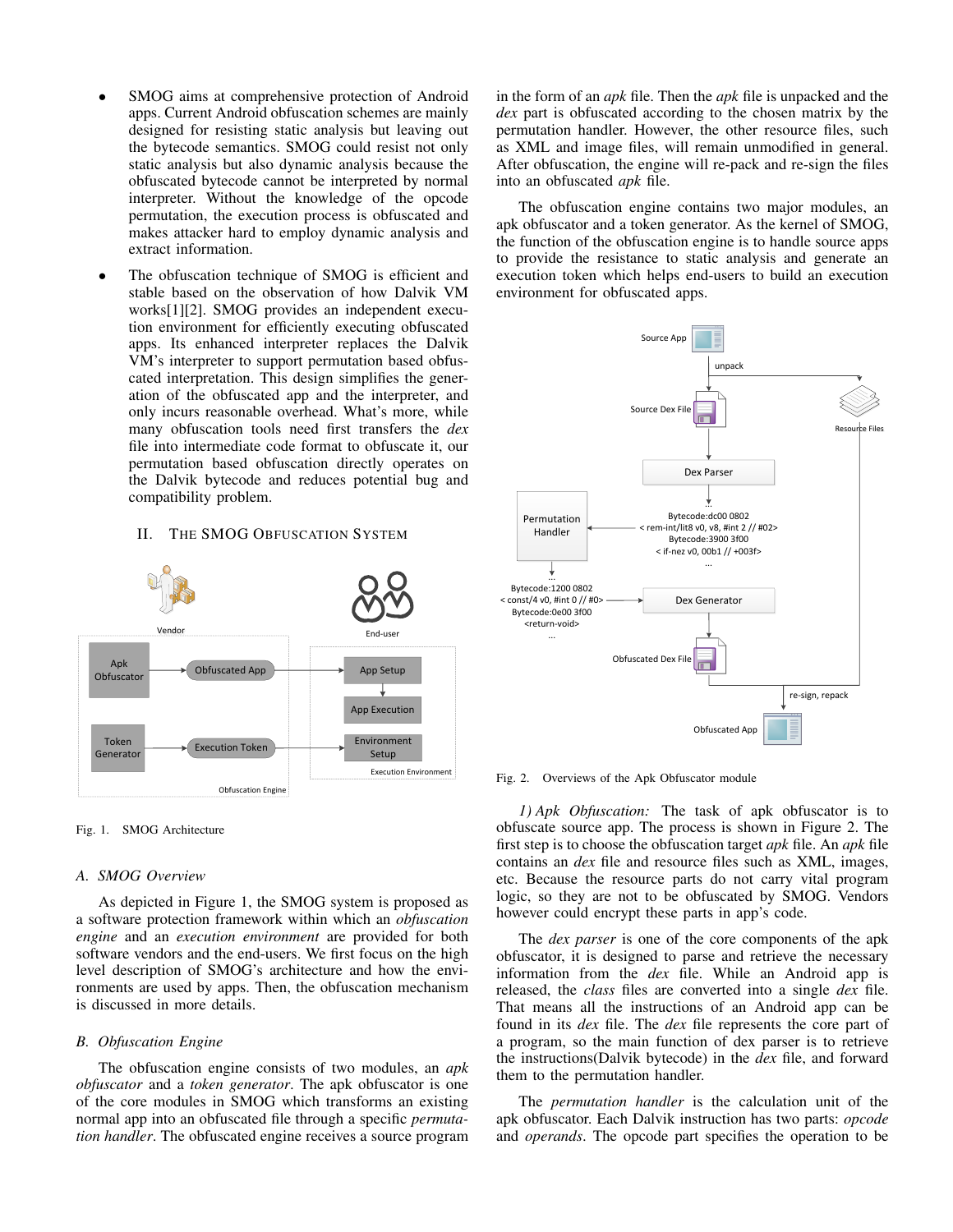- SMOG aims at comprehensive protection of Android apps. Current Android obfuscation schemes are mainly designed for resisting static analysis but leaving out the bytecode semantics. SMOG could resist not only static analysis but also dynamic analysis because the obfuscated bytecode cannot be interpreted by normal interpreter. Without the knowledge of the opcode permutation, the execution process is obfuscated and makes attacker hard to employ dynamic analysis and extract information.
- The obfuscation technique of SMOG is efficient and stable based on the observation of how Dalvik VM works[1][2]. SMOG provides an independent execution environment for efficiently executing obfuscated apps. Its enhanced interpreter replaces the Dalvik VM's interpreter to support permutation based obfuscated interpretation. This design simplifies the generation of the obfuscated app and the interpreter, and only incurs reasonable overhead. What's more, while many obfuscation tools need first transfers the *dex* file into intermediate code format to obfuscate it, our permutation based obfuscation directly operates on the Dalvik bytecode and reduces potential bug and compatibility problem.

# II. THE SMOG OBFUSCATION SYSTEM



Fig. 1. SMOG Architecture

# *A. SMOG Overview*

As depicted in Figure 1, the SMOG system is proposed as a software protection framework within which an *obfuscation engine* and an *execution environment* are provided for both software vendors and the end-users. We first focus on the high level description of SMOG's architecture and how the environments are used by apps. Then, the obfuscation mechanism is discussed in more details.

#### *B. Obfuscation Engine*

The obfuscation engine consists of two modules, an *apk obfuscator* and a *token generator*. The apk obfuscator is one of the core modules in SMOG which transforms an existing normal app into an obfuscated file through a specific *permutation handler*. The obfuscated engine receives a source program in the form of an *apk* file. Then the *apk* file is unpacked and the *dex* part is obfuscated according to the chosen matrix by the permutation handler. However, the other resource files, such as XML and image files, will remain unmodified in general. After obfuscation, the engine will re-pack and re-sign the files into an obfuscated *apk* file.

The obfuscation engine contains two major modules, an apk obfuscator and a token generator. As the kernel of SMOG, the function of the obfuscation engine is to handle source apps to provide the resistance to static analysis and generate an execution token which helps end-users to build an execution environment for obfuscated apps.



Fig. 2. Overviews of the Apk Obfuscator module

*1) Apk Obfuscation:* The task of apk obfuscator is to obfuscate source app. The process is shown in Figure 2. The first step is to choose the obfuscation target *apk* file. An *apk* file contains an *dex* file and resource files such as XML, images, etc. Because the resource parts do not carry vital program logic, so they are not to be obfuscated by SMOG. Vendors however could encrypt these parts in app's code.

The *dex parser* is one of the core components of the apk obfuscator, it is designed to parse and retrieve the necessary information from the *dex* file. While an Android app is released, the *class* files are converted into a single *dex* file. That means all the instructions of an Android app can be found in its *dex* file. The *dex* file represents the core part of a program, so the main function of dex parser is to retrieve the instructions(Dalvik bytecode) in the *dex* file, and forward them to the permutation handler.

The *permutation handler* is the calculation unit of the apk obfuscator. Each Dalvik instruction has two parts: *opcode* and *operands*. The opcode part specifies the operation to be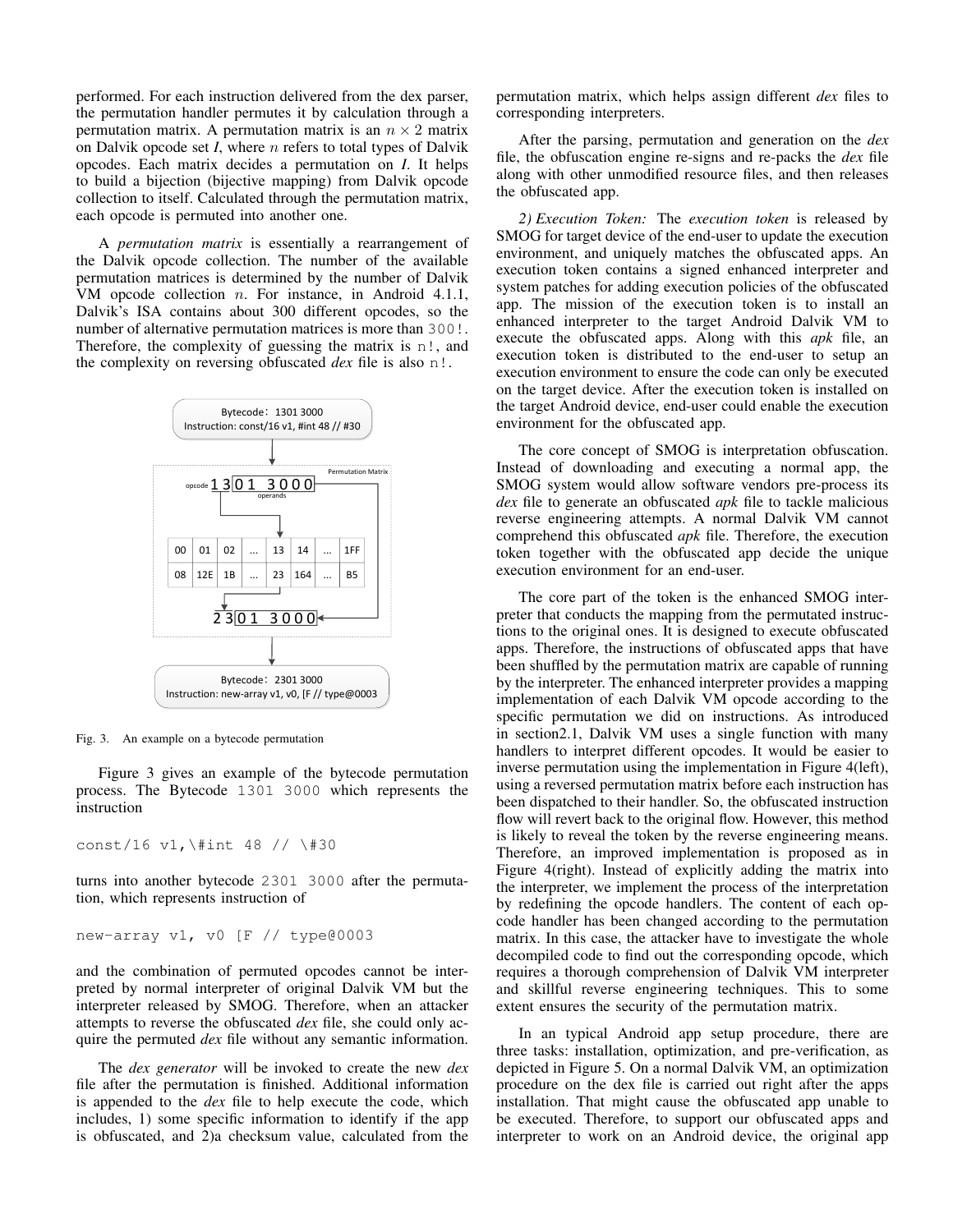performed. For each instruction delivered from the dex parser, the permutation handler permutes it by calculation through a permutation matrix. A permutation matrix is an  $n \times 2$  matrix on Dalvik opcode set *I*, where n refers to total types of Dalvik opcodes. Each matrix decides a permutation on *I*. It helps to build a bijection (bijective mapping) from Dalvik opcode collection to itself. Calculated through the permutation matrix, each opcode is permuted into another one.

A *permutation matrix* is essentially a rearrangement of the Dalvik opcode collection. The number of the available permutation matrices is determined by the number of Dalvik VM opcode collection n. For instance, in Android 4.1.1, Dalvik's ISA contains about 300 different opcodes, so the number of alternative permutation matrices is more than 300!. Therefore, the complexity of guessing the matrix is n!, and the complexity on reversing obfuscated *dex* file is also n!.



Fig. 3. An example on a bytecode permutation

Figure 3 gives an example of the bytecode permutation process. The Bytecode 1301 3000 which represents the instruction

const/16 v1,\#int 48 // \#30

turns into another bytecode 2301 3000 after the permutation, which represents instruction of

```
new-array v1, v0 [F // type@0003
```
and the combination of permuted opcodes cannot be interpreted by normal interpreter of original Dalvik VM but the interpreter released by SMOG. Therefore, when an attacker attempts to reverse the obfuscated *dex* file, she could only acquire the permuted *dex* file without any semantic information.

The *dex generator* will be invoked to create the new *dex* file after the permutation is finished. Additional information is appended to the *dex* file to help execute the code, which includes, 1) some specific information to identify if the app is obfuscated, and 2)a checksum value, calculated from the permutation matrix, which helps assign different *dex* files to corresponding interpreters.

After the parsing, permutation and generation on the *dex* file, the obfuscation engine re-signs and re-packs the *dex* file along with other unmodified resource files, and then releases the obfuscated app.

*2) Execution Token:* The *execution token* is released by SMOG for target device of the end-user to update the execution environment, and uniquely matches the obfuscated apps. An execution token contains a signed enhanced interpreter and system patches for adding execution policies of the obfuscated app. The mission of the execution token is to install an enhanced interpreter to the target Android Dalvik VM to execute the obfuscated apps. Along with this *apk* file, an execution token is distributed to the end-user to setup an execution environment to ensure the code can only be executed on the target device. After the execution token is installed on the target Android device, end-user could enable the execution environment for the obfuscated app.

The core concept of SMOG is interpretation obfuscation. Instead of downloading and executing a normal app, the SMOG system would allow software vendors pre-process its *dex* file to generate an obfuscated *apk* file to tackle malicious reverse engineering attempts. A normal Dalvik VM cannot comprehend this obfuscated *apk* file. Therefore, the execution token together with the obfuscated app decide the unique execution environment for an end-user.

The core part of the token is the enhanced SMOG interpreter that conducts the mapping from the permutated instructions to the original ones. It is designed to execute obfuscated apps. Therefore, the instructions of obfuscated apps that have been shuffled by the permutation matrix are capable of running by the interpreter. The enhanced interpreter provides a mapping implementation of each Dalvik VM opcode according to the specific permutation we did on instructions. As introduced in section2.1, Dalvik VM uses a single function with many handlers to interpret different opcodes. It would be easier to inverse permutation using the implementation in Figure 4(left), using a reversed permutation matrix before each instruction has been dispatched to their handler. So, the obfuscated instruction flow will revert back to the original flow. However, this method is likely to reveal the token by the reverse engineering means. Therefore, an improved implementation is proposed as in Figure 4(right). Instead of explicitly adding the matrix into the interpreter, we implement the process of the interpretation by redefining the opcode handlers. The content of each opcode handler has been changed according to the permutation matrix. In this case, the attacker have to investigate the whole decompiled code to find out the corresponding opcode, which requires a thorough comprehension of Dalvik VM interpreter and skillful reverse engineering techniques. This to some extent ensures the security of the permutation matrix.

In an typical Android app setup procedure, there are three tasks: installation, optimization, and pre-verification, as depicted in Figure 5. On a normal Dalvik VM, an optimization procedure on the dex file is carried out right after the apps installation. That might cause the obfuscated app unable to be executed. Therefore, to support our obfuscated apps and interpreter to work on an Android device, the original app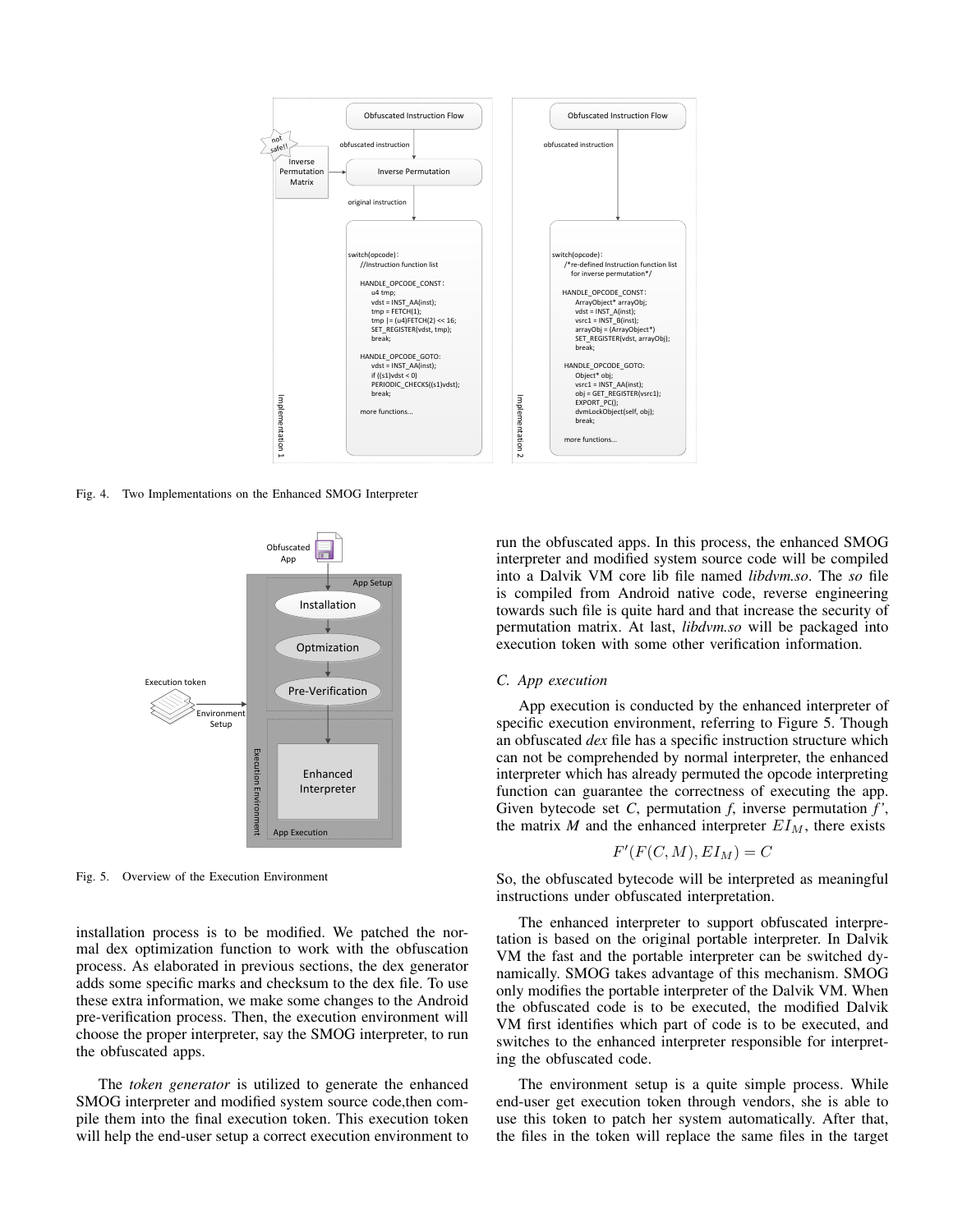

Fig. 4. Two Implementations on the Enhanced SMOG Interpreter



Fig. 5. Overview of the Execution Environment

installation process is to be modified. We patched the normal dex optimization function to work with the obfuscation process. As elaborated in previous sections, the dex generator adds some specific marks and checksum to the dex file. To use these extra information, we make some changes to the Android pre-verification process. Then, the execution environment will choose the proper interpreter, say the SMOG interpreter, to run the obfuscated apps.

The *token generator* is utilized to generate the enhanced SMOG interpreter and modified system source code,then compile them into the final execution token. This execution token will help the end-user setup a correct execution environment to

run the obfuscated apps. In this process, the enhanced SMOG interpreter and modified system source code will be compiled into a Dalvik VM core lib file named *libdvm.so*. The *so* file is compiled from Android native code, reverse engineering towards such file is quite hard and that increase the security of permutation matrix. At last, *libdvm.so* will be packaged into execution token with some other verification information.

#### *C. App execution*

App execution is conducted by the enhanced interpreter of specific execution environment, referring to Figure 5. Though an obfuscated *dex* file has a specific instruction structure which can not be comprehended by normal interpreter, the enhanced interpreter which has already permuted the opcode interpreting function can guarantee the correctness of executing the app. Given bytecode set *C*, permutation *f*, inverse permutation *f'*, the matrix *M* and the enhanced interpreter  $EI_M$ , there exists

$$
F'(F(C,M), EI_M) = C
$$

So, the obfuscated bytecode will be interpreted as meaningful instructions under obfuscated interpretation.

The enhanced interpreter to support obfuscated interpretation is based on the original portable interpreter. In Dalvik VM the fast and the portable interpreter can be switched dynamically. SMOG takes advantage of this mechanism. SMOG only modifies the portable interpreter of the Dalvik VM. When the obfuscated code is to be executed, the modified Dalvik VM first identifies which part of code is to be executed, and switches to the enhanced interpreter responsible for interpreting the obfuscated code.

The environment setup is a quite simple process. While end-user get execution token through vendors, she is able to use this token to patch her system automatically. After that, the files in the token will replace the same files in the target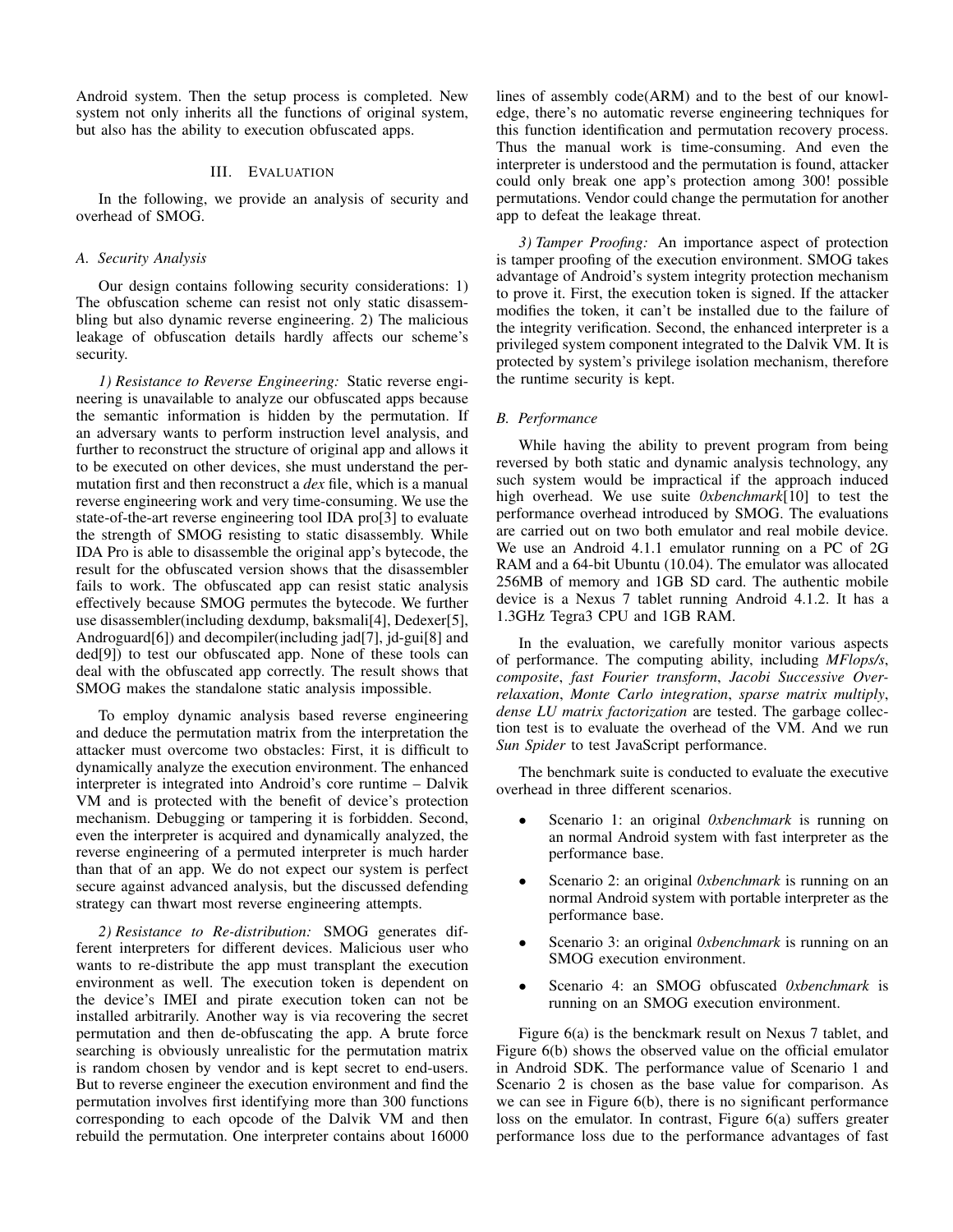Android system. Then the setup process is completed. New system not only inherits all the functions of original system, but also has the ability to execution obfuscated apps.

# III. EVALUATION

In the following, we provide an analysis of security and overhead of SMOG.

### *A. Security Analysis*

Our design contains following security considerations: 1) The obfuscation scheme can resist not only static disassembling but also dynamic reverse engineering. 2) The malicious leakage of obfuscation details hardly affects our scheme's security.

*1) Resistance to Reverse Engineering:* Static reverse engineering is unavailable to analyze our obfuscated apps because the semantic information is hidden by the permutation. If an adversary wants to perform instruction level analysis, and further to reconstruct the structure of original app and allows it to be executed on other devices, she must understand the permutation first and then reconstruct a *dex* file, which is a manual reverse engineering work and very time-consuming. We use the state-of-the-art reverse engineering tool IDA pro[3] to evaluate the strength of SMOG resisting to static disassembly. While IDA Pro is able to disassemble the original app's bytecode, the result for the obfuscated version shows that the disassembler fails to work. The obfuscated app can resist static analysis effectively because SMOG permutes the bytecode. We further use disassembler(including dexdump, baksmali[4], Dedexer[5], Androguard[6]) and decompiler(including jad[7], jd-gui[8] and ded[9]) to test our obfuscated app. None of these tools can deal with the obfuscated app correctly. The result shows that SMOG makes the standalone static analysis impossible.

To employ dynamic analysis based reverse engineering and deduce the permutation matrix from the interpretation the attacker must overcome two obstacles: First, it is difficult to dynamically analyze the execution environment. The enhanced interpreter is integrated into Android's core runtime – Dalvik VM and is protected with the benefit of device's protection mechanism. Debugging or tampering it is forbidden. Second, even the interpreter is acquired and dynamically analyzed, the reverse engineering of a permuted interpreter is much harder than that of an app. We do not expect our system is perfect secure against advanced analysis, but the discussed defending strategy can thwart most reverse engineering attempts.

*2) Resistance to Re-distribution:* SMOG generates different interpreters for different devices. Malicious user who wants to re-distribute the app must transplant the execution environment as well. The execution token is dependent on the device's IMEI and pirate execution token can not be installed arbitrarily. Another way is via recovering the secret permutation and then de-obfuscating the app. A brute force searching is obviously unrealistic for the permutation matrix is random chosen by vendor and is kept secret to end-users. But to reverse engineer the execution environment and find the permutation involves first identifying more than 300 functions corresponding to each opcode of the Dalvik VM and then rebuild the permutation. One interpreter contains about 16000 lines of assembly code(ARM) and to the best of our knowledge, there's no automatic reverse engineering techniques for this function identification and permutation recovery process. Thus the manual work is time-consuming. And even the interpreter is understood and the permutation is found, attacker could only break one app's protection among 300! possible permutations. Vendor could change the permutation for another app to defeat the leakage threat.

*3) Tamper Proofing:* An importance aspect of protection is tamper proofing of the execution environment. SMOG takes advantage of Android's system integrity protection mechanism to prove it. First, the execution token is signed. If the attacker modifies the token, it can't be installed due to the failure of the integrity verification. Second, the enhanced interpreter is a privileged system component integrated to the Dalvik VM. It is protected by system's privilege isolation mechanism, therefore the runtime security is kept.

# *B. Performance*

While having the ability to prevent program from being reversed by both static and dynamic analysis technology, any such system would be impractical if the approach induced high overhead. We use suite *0xbenchmark*[10] to test the performance overhead introduced by SMOG. The evaluations are carried out on two both emulator and real mobile device. We use an Android 4.1.1 emulator running on a PC of 2G RAM and a 64-bit Ubuntu (10.04). The emulator was allocated 256MB of memory and 1GB SD card. The authentic mobile device is a Nexus 7 tablet running Android 4.1.2. It has a 1.3GHz Tegra3 CPU and 1GB RAM.

In the evaluation, we carefully monitor various aspects of performance. The computing ability, including *MFlops/s*, *composite*, *fast Fourier transform*, *Jacobi Successive Overrelaxation*, *Monte Carlo integration*, *sparse matrix multiply*, *dense LU matrix factorization* are tested. The garbage collection test is to evaluate the overhead of the VM. And we run *Sun Spider* to test JavaScript performance.

The benchmark suite is conducted to evaluate the executive overhead in three different scenarios.

- Scenario 1: an original *0xbenchmark* is running on an normal Android system with fast interpreter as the performance base.
- Scenario 2: an original *0xbenchmark* is running on an normal Android system with portable interpreter as the performance base.
- Scenario 3: an original *0xbenchmark* is running on an SMOG execution environment.
- Scenario 4: an SMOG obfuscated *0xbenchmark* is running on an SMOG execution environment.

Figure 6(a) is the benckmark result on Nexus 7 tablet, and Figure 6(b) shows the observed value on the official emulator in Android SDK. The performance value of Scenario 1 and Scenario 2 is chosen as the base value for comparison. As we can see in Figure 6(b), there is no significant performance loss on the emulator. In contrast, Figure 6(a) suffers greater performance loss due to the performance advantages of fast